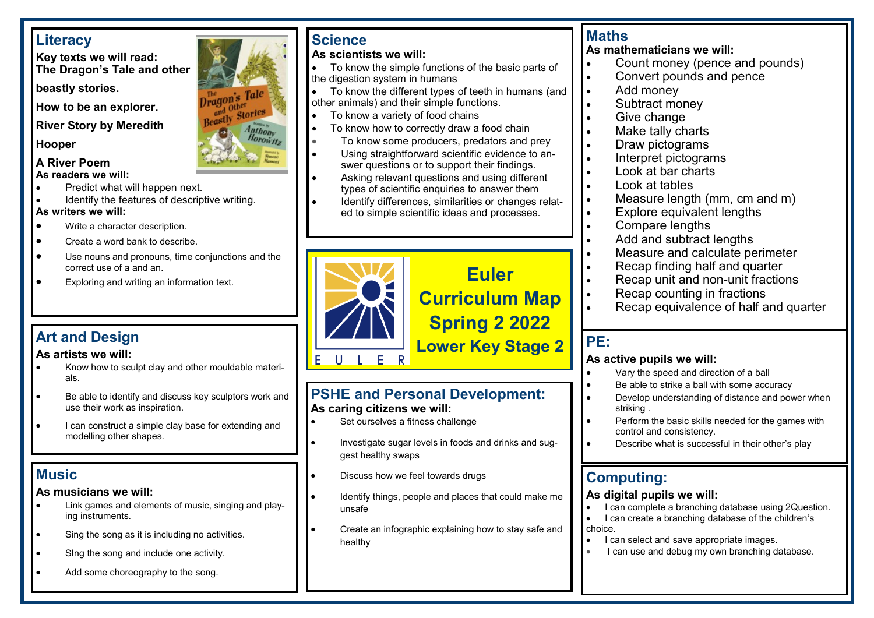# **Literacy**

**Key texts we will read: The Dragon's Tale and other** 

**beastly stories.**

**How to be an explorer.**

**River Story by Meredith** 

#### **Hooper**

#### **A River Poem As readers we will:**

- Predict what will happen next.
- Identify the features of descriptive writing. **As writers we will:**
- Write a character description.
- Create a word bank to describe.
- Use nouns and pronouns, time conjunctions and the correct use of a and an.
- Exploring and writing an information text.

#### **As artists we will:**

- Know how to sculpt clay and other mouldable materials.
- Be able to identify and discuss key sculptors work and use their work as inspiration.
- I can construct a simple clay base for extending and modelling other shapes.

# **Music**

#### **As musicians we will:**

- Link games and elements of music, singing and playing instruments.
- Sing the song as it is including no activities.
- Sing the song and include one activity.
- Add some choreography to the song.

# **Science**

Dragon's Tale

Beastly

 $f^{\text{free}}_{\text{f} \text{tori}}$ 

Anthony Horowitz

### **As scientists we will:**

- To know the simple functions of the basic parts of the digestion system in humans
- To know the different types of teeth in humans (and other animals) and their simple functions.
- To know a variety of food chains
- To know how to correctly draw a food chain
- To know some producers, predators and prey
- Using straightforward scientific evidence to answer questions or to support their findings.
- Asking relevant questions and using different types of scientific enquiries to answer them
- Identify differences, similarities or changes related to simple scientific ideas and processes.



#### **PSHE and Personal Development: As caring citizens we will:**

- Set ourselves a fitness challenge
- Investigate sugar levels in foods and drinks and suggest healthy swaps
- Discuss how we feel towards drugs
- Identify things, people and places that could make me unsafe
- Create an infographic explaining how to stay safe and healthy

# **Maths**

**As mathematicians we will:**

- Count money (pence and pounds)
- Convert pounds and pence
- Add money
- Subtract money
- Give change
- Make tally charts
- Draw pictograms
- Interpret pictograms
- Look at bar charts
- Look at tables
- Measure length (mm, cm and m)
- Explore equivalent lengths
- Compare lengths
- Add and subtract lengths
- Measure and calculate perimeter
- Recap finding half and quarter
- Recap unit and non-unit fractions
- Recap counting in fractions
- Recap equivalence of half and quarter

# **PE:**

#### **As active pupils we will:**

- Vary the speed and direction of a ball
- Be able to strike a ball with some accuracy
- Develop understanding of distance and power when striking .
- Perform the basic skills needed for the games with control and consistency.
- Describe what is successful in their other's play

# **Computing:**

#### **As digital pupils we will:**

- I can complete a branching database using 2Question.
- I can create a branching database of the children's choice.
- I can select and save appropriate images.
- I can use and debug my own branching database.